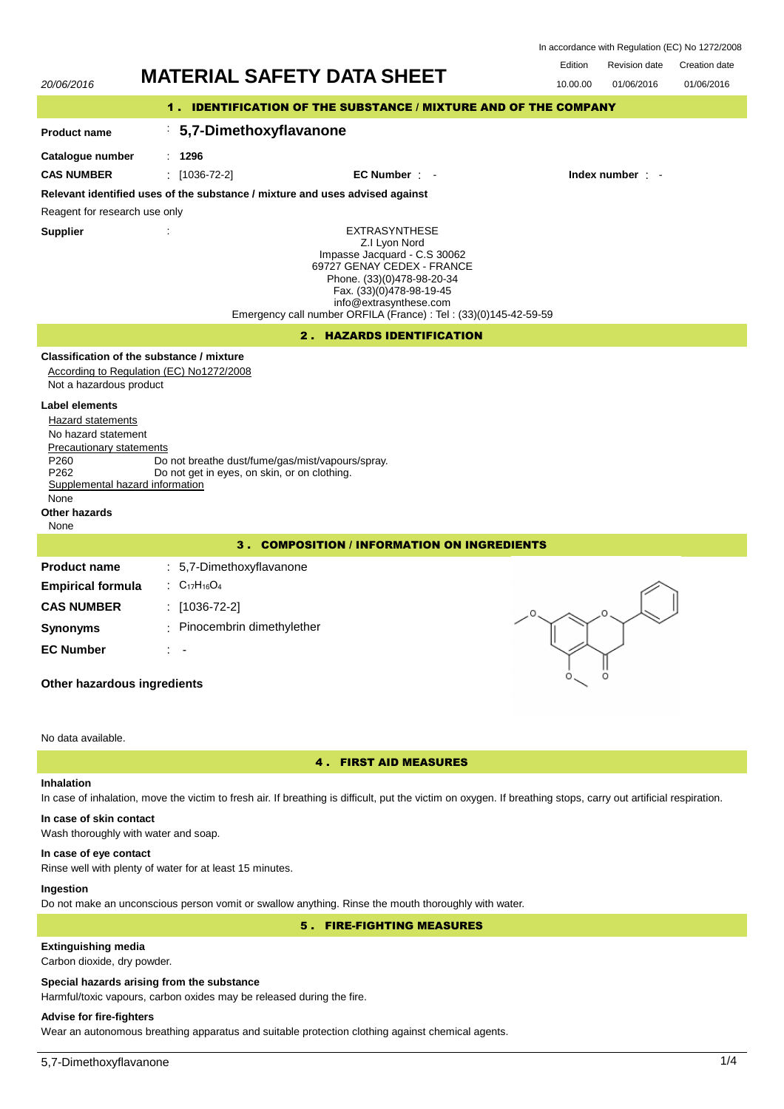|  | In accordance with Regulation (EC) No 1272/2008 |                    |
|--|-------------------------------------------------|--------------------|
|  | Desidente delle                                 | $0.44 \times 1.44$ |

| 20/06/2016                                                                                                                                                                            | <b>MATERIAL SAFETY DATA SHEET</b>                                                                                                                                                                                                                            | Edition<br>10.00.00 | <b>Revision date</b><br>01/06/2016 | Creation date<br>01/06/2016 |  |  |
|---------------------------------------------------------------------------------------------------------------------------------------------------------------------------------------|--------------------------------------------------------------------------------------------------------------------------------------------------------------------------------------------------------------------------------------------------------------|---------------------|------------------------------------|-----------------------------|--|--|
|                                                                                                                                                                                       | 1. IDENTIFICATION OF THE SUBSTANCE / MIXTURE AND OF THE COMPANY                                                                                                                                                                                              |                     |                                    |                             |  |  |
| <b>Product name</b>                                                                                                                                                                   | 5,7-Dimethoxyflavanone                                                                                                                                                                                                                                       |                     |                                    |                             |  |  |
| Catalogue number                                                                                                                                                                      | : 1296                                                                                                                                                                                                                                                       |                     |                                    |                             |  |  |
| <b>CAS NUMBER</b>                                                                                                                                                                     | $\frac{1}{2}$ [1036-72-2]<br>EC Number:                                                                                                                                                                                                                      |                     | Index number : -                   |                             |  |  |
|                                                                                                                                                                                       | Relevant identified uses of the substance / mixture and uses advised against                                                                                                                                                                                 |                     |                                    |                             |  |  |
| Reagent for research use only                                                                                                                                                         |                                                                                                                                                                                                                                                              |                     |                                    |                             |  |  |
| <b>Supplier</b>                                                                                                                                                                       | <b>EXTRASYNTHESE</b><br>Z.I Lyon Nord<br>Impasse Jacquard - C.S 30062<br>69727 GENAY CEDEX - FRANCE<br>Phone. (33)(0)478-98-20-34<br>Fax. (33)(0)478-98-19-45<br>info@extrasynthese.com<br>Emergency call number ORFILA (France) : Tel : (33)(0)145-42-59-59 |                     |                                    |                             |  |  |
|                                                                                                                                                                                       | 2. HAZARDS IDENTIFICATION                                                                                                                                                                                                                                    |                     |                                    |                             |  |  |
| Classification of the substance / mixture<br>According to Regulation (EC) No1272/2008<br>Not a hazardous product<br><b>Label elements</b><br>Hazard statements<br>No hazard statement |                                                                                                                                                                                                                                                              |                     |                                    |                             |  |  |
| <b>Precautionary statements</b><br>P <sub>260</sub><br>P262<br>Supplemental hazard information<br>None<br>Other hazards<br>None                                                       | Do not breathe dust/fume/gas/mist/vapours/spray.<br>Do not get in eyes, on skin, or on clothing.                                                                                                                                                             |                     |                                    |                             |  |  |
| <b>3. COMPOSITION / INFORMATION ON INGREDIENTS</b>                                                                                                                                    |                                                                                                                                                                                                                                                              |                     |                                    |                             |  |  |
| <b>Product name</b><br><b>Empirical formula</b><br><b>CAS NUMBER</b><br><b>Synonyms</b><br><b>EC Number</b><br>Other hazardous ingredients                                            | : 5,7-Dimethoxyflavanone<br>: $C_{17}H_{16}O_4$<br>$: [1036-72-2]$<br>: Pinocembrin dimethylether                                                                                                                                                            |                     | O                                  |                             |  |  |
|                                                                                                                                                                                       |                                                                                                                                                                                                                                                              |                     |                                    |                             |  |  |

# No data available.

## 4 . FIRST AID MEASURES

## **Inhalation**

In case of inhalation, move the victim to fresh air. If breathing is difficult, put the victim on oxygen. If breathing stops, carry out artificial respiration.

# **In case of skin contact**

Wash thoroughly with water and soap.

## **In case of eye contact**

Rinse well with plenty of water for at least 15 minutes.

# **Ingestion**

Do not make an unconscious person vomit or swallow anything. Rinse the mouth thoroughly with water.

5 . FIRE-FIGHTING MEASURES

# **Extinguishing media**

Carbon dioxide, dry powder.

## **Special hazards arising from the substance**

Harmful/toxic vapours, carbon oxides may be released during the fire.

## **Advise for fire-fighters**

Wear an autonomous breathing apparatus and suitable protection clothing against chemical agents.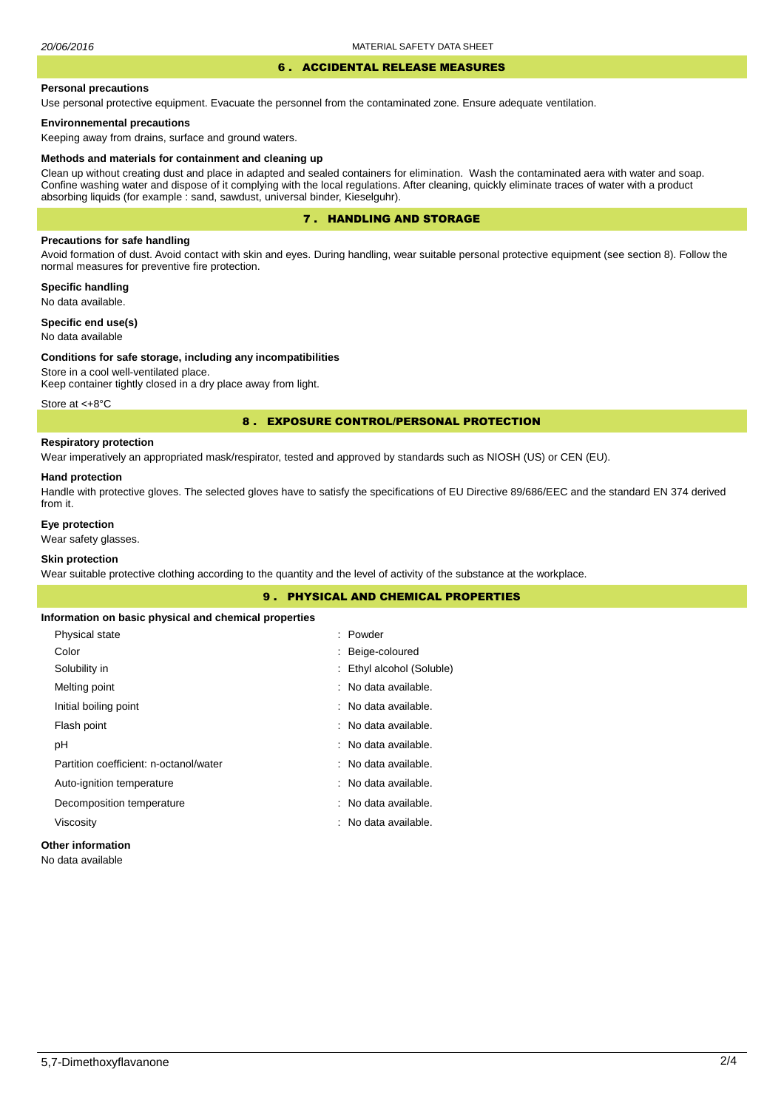## 6 . ACCIDENTAL RELEASE MEASURES

#### **Personal precautions**

Use personal protective equipment. Evacuate the personnel from the contaminated zone. Ensure adequate ventilation.

## **Environnemental precautions**

Keeping away from drains, surface and ground waters.

#### **Methods and materials for containment and cleaning up**

Clean up without creating dust and place in adapted and sealed containers for elimination. Wash the contaminated aera with water and soap. Confine washing water and dispose of it complying with the local regulations. After cleaning, quickly eliminate traces of water with a product absorbing liquids (for example : sand, sawdust, universal binder, Kieselguhr).

## 7 . HANDLING AND STORAGE

## **Precautions for safe handling**

Avoid formation of dust. Avoid contact with skin and eyes. During handling, wear suitable personal protective equipment (see section 8). Follow the normal measures for preventive fire protection.

**Specific handling** No data available.

**Specific end use(s)**

## No data available

#### **Conditions for safe storage, including any incompatibilities**

Store in a cool well-ventilated place. Keep container tightly closed in a dry place away from light.

Store at <+8°C

## 8 . EXPOSURE CONTROL/PERSONAL PROTECTION

## **Respiratory protection**

Wear imperatively an appropriated mask/respirator, tested and approved by standards such as NIOSH (US) or CEN (EU).

#### **Hand protection**

Handle with protective gloves. The selected gloves have to satisfy the specifications of EU Directive 89/686/EEC and the standard EN 374 derived from it.

## **Eye protection**

Wear safety glasses.

## **Skin protection**

Wear suitable protective clothing according to the quantity and the level of activity of the substance at the workplace.

|                                                       | <b>PHYSICAL AND CHEMICAL PROPERTIES</b><br>9. |
|-------------------------------------------------------|-----------------------------------------------|
| Information on basic physical and chemical properties |                                               |
| Physical state                                        | : Powder                                      |
| Color                                                 | : Beige-coloured                              |
| Solubility in                                         | : Ethyl alcohol (Soluble)                     |
| Melting point                                         | : No data available.                          |
| Initial boiling point                                 | : No data available.                          |
| Flash point                                           | : No data available.                          |
| рH                                                    | : No data available.                          |
| Partition coefficient: n-octanol/water                | : No data available.                          |
| Auto-ignition temperature                             | : No data available.                          |
| Decomposition temperature                             | : No data available.                          |
| Viscosity                                             | : No data available.                          |
| <b>Other information</b>                              |                                               |

No data available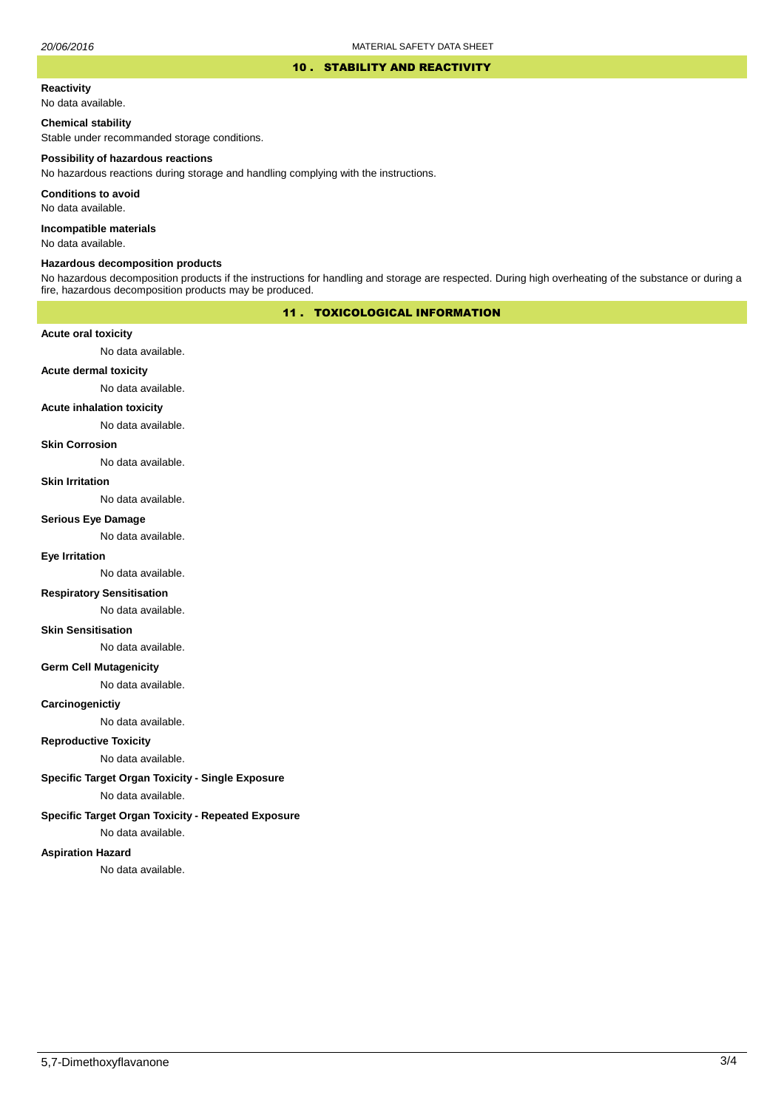### 10 . STABILITY AND REACTIVITY

#### **Reactivity**

No data available.

## **Chemical stability**

Stable under recommanded storage conditions.

#### **Possibility of hazardous reactions**

No hazardous reactions during storage and handling complying with the instructions.

**Conditions to avoid**

No data available.

**Incompatible materials**

No data available.

#### **Hazardous decomposition products**

No hazardous decomposition products if the instructions for handling and storage are respected. During high overheating of the substance or during a fire, hazardous decomposition products may be produced.

## 11 . TOXICOLOGICAL INFORMATION

## **Acute oral toxicity**

No data available.

## **Acute dermal toxicity**

No data available.

## **Acute inhalation toxicity**

No data available.

## **Skin Corrosion**

No data available.

#### **Skin Irritation**

No data available.

#### **Serious Eye Damage**

No data available.

## **Eye Irritation**

No data available.

## **Respiratory Sensitisation**

No data available.

#### **Skin Sensitisation**

No data available.

## **Germ Cell Mutagenicity**

No data available.

## **Carcinogenictiy**

No data available.

## **Reproductive Toxicity**

No data available.

## **Specific Target Organ Toxicity - Single Exposure**

No data available.

## **Specific Target Organ Toxicity - Repeated Exposure**

No data available.

#### **Aspiration Hazard**

No data available.